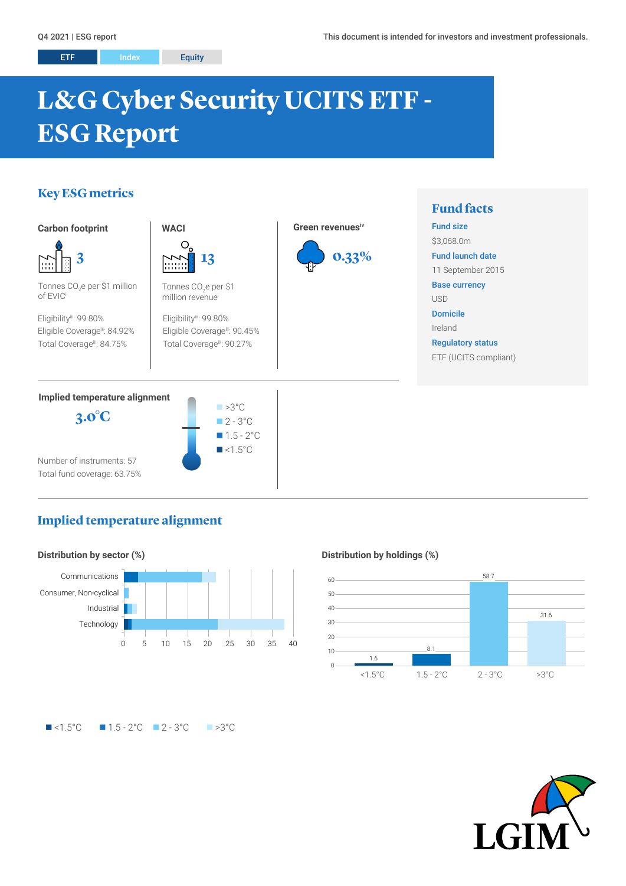# **L&G Cyber Security UCITS ETF - ESG Report**

# **Key ESG metrics**



# **Implied temperature alignment**



### **Distribution by holdings (%)**



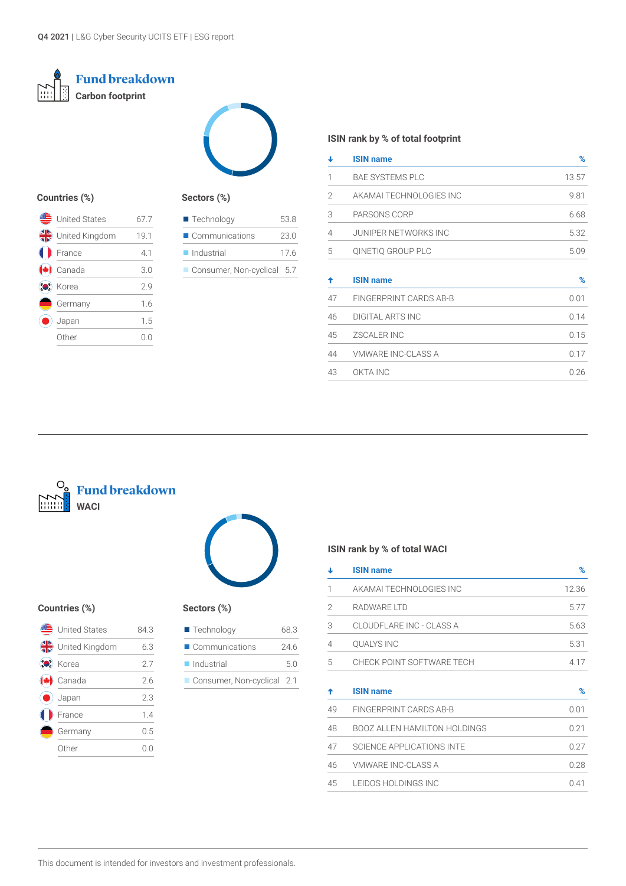



### **Countries (%)**

| <b>United States</b> | 67 7 |
|----------------------|------|
| United Kingdom       | 19.1 |
| France               | 4.1  |
| Canada               | 3.0  |
| Korea                | 29   |
| Germany              | 1.6  |
| Japan                | 1.5  |
| 0ther                | (1)  |

# **Sectors (%)**

| $\blacksquare$ Technology  | 53.8 |
|----------------------------|------|
| Communications             | 23.0 |
| $\blacksquare$ Industrial  | 176  |
| Consumer, Non-cyclical 5.7 |      |

### **ISIN rank by % of total footprint**

| ┹  | <b>ISIN name</b>            | %     |
|----|-----------------------------|-------|
| 1  | <b>BAE SYSTEMS PLC</b>      | 13.57 |
| 2  | AKAMAI TECHNOLOGIES INC     | 9.81  |
| 3  | PARSONS CORP                | 6.68  |
| 4  | <b>JUNIPER NETWORKS INC</b> | 5.32  |
| 5  | QINETIQ GROUP PLC           | 5.09  |
| ✦  | <b>ISIN name</b>            | $\%$  |
| 47 | FINGERPRINT CARDS AB-B      | 0.01  |
| 46 | <b>DIGITAL ARTS INC</b>     | 0.14  |
| 45 | <b>ZSCALER INC</b>          | 0.15  |
| 44 | <b>VMWARE INC-CLASS A</b>   | 0.17  |
| 43 | OKTA INC                    | 0.26  |





### **Countries (%) Sectors (%)**

|     | <b>United States</b> | 84 3 |  |
|-----|----------------------|------|--|
|     | United Kingdom       | 6.3  |  |
| to: | Korea                | 2.7  |  |
|     | Canada               | 2.6  |  |
|     | Japan                | 2.3  |  |
|     | France               | 14   |  |
|     | Germany              | 0.5  |  |
|     | ∩ther                |      |  |

| $\blacksquare$ Technology     | 683  |
|-------------------------------|------|
| $\blacksquare$ Communications | 24.6 |
| $\blacksquare$ Industrial     | 50   |
| Consumer, Non-cyclical 2.1    |      |

# **ISIN rank by % of total WACI**

|   | <b>ISIN name</b>          | %     |
|---|---------------------------|-------|
|   | AKAMAI TECHNOLOGIES INC   | 12.36 |
| 2 | RADWARE LTD               | 5.77  |
| 3 | CLOUDELARE INC - CLASS A  | 5.63  |
| 4 | <b>QUALYS INC</b>         | 5.31  |
| 5 | CHECK POINT SOFTWARE TECH | 4 1 7 |
|   | <b>ISIN name</b>          | $\%$  |

| 49 | FINGERPRINT CARDS AB-B       | 0.01 |  |
|----|------------------------------|------|--|
| 48 | BOOZ ALLEN HAMILTON HOLDINGS | 0.21 |  |
| 47 | SCIENCE APPLICATIONS INTE    | 0.27 |  |
| 46 | VMWARE INC-CLASS A           | 0.28 |  |
| 45 | LEIDOS HOLDINGS INC          | 0.41 |  |